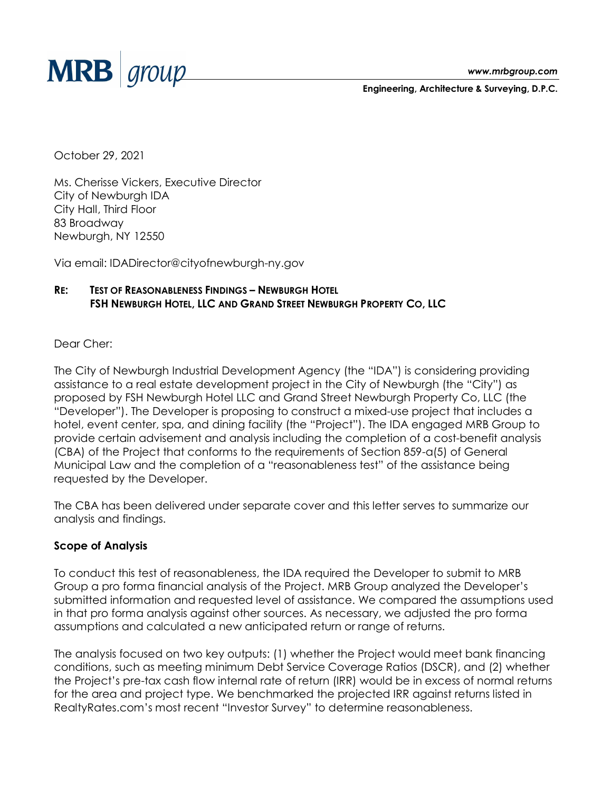

**Engineering, Architecture & Surveying, D.P.C.**

October 29, 2021

Ms. Cherisse Vickers, Executive Director City of Newburgh IDA City Hall, Third Floor 83 Broadway Newburgh, NY 12550

Via email: [IDADirector@cityofnewburgh-ny.gov](mailto:IDADirector@cityofnewburgh-ny.gov)

## **RE: TEST OF REASONABLENESS FINDINGS – NEWBURGH HOTEL FSH NEWBURGH HOTEL, LLC AND GRAND STREET NEWBURGH PROPERTY CO, LLC**

Dear Cher:

The City of Newburgh Industrial Development Agency (the "IDA") is considering providing assistance to a real estate development project in the City of Newburgh (the "City") as proposed by FSH Newburgh Hotel LLC and Grand Street Newburgh Property Co, LLC (the "Developer"). The Developer is proposing to construct a mixed-use project that includes a hotel, event center, spa, and dining facility (the "Project"). The IDA engaged MRB Group to provide certain advisement and analysis including the completion of a cost-benefit analysis (CBA) of the Project that conforms to the requirements of Section 859-a(5) of General Municipal Law and the completion of a "reasonableness test" of the assistance being requested by the Developer.

The CBA has been delivered under separate cover and this letter serves to summarize our analysis and findings.

## **Scope of Analysis**

To conduct this test of reasonableness, the IDA required the Developer to submit to MRB Group a pro forma financial analysis of the Project. MRB Group analyzed the Developer's submitted information and requested level of assistance. We compared the assumptions used in that pro forma analysis against other sources. As necessary, we adjusted the pro forma assumptions and calculated a new anticipated return or range of returns.

The analysis focused on two key outputs: (1) whether the Project would meet bank financing conditions, such as meeting minimum Debt Service Coverage Ratios (DSCR), and (2) whether the Project's pre-tax cash flow internal rate of return (IRR) would be in excess of normal returns for the area and project type. We benchmarked the projected IRR against returns listed in RealtyRates.com's most recent "Investor Survey" to determine reasonableness.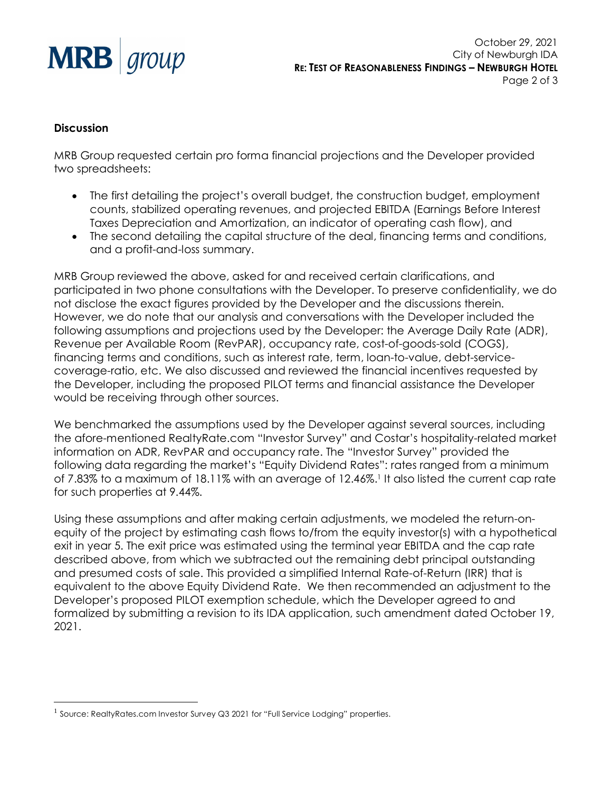

October 29, 2021 City of Newburgh IDA **RE: TEST OF REASONABLENESS FINDINGS – NEWBURGH HOTEL** Page 2 of 3

## **Discussion**

 $\overline{a}$ 

MRB Group requested certain pro forma financial projections and the Developer provided two spreadsheets:

- The first detailing the project's overall budget, the construction budget, employment counts, stabilized operating revenues, and projected EBITDA (Earnings Before Interest Taxes Depreciation and Amortization, an indicator of operating cash flow), and
- The second detailing the capital structure of the deal, financing terms and conditions, and a profit-and-loss summary.

MRB Group reviewed the above, asked for and received certain clarifications, and participated in two phone consultations with the Developer. To preserve confidentiality, we do not disclose the exact figures provided by the Developer and the discussions therein. However, we do note that our analysis and conversations with the Developer included the following assumptions and projections used by the Developer: the Average Daily Rate (ADR), Revenue per Available Room (RevPAR), occupancy rate, cost-of-goods-sold (COGS), financing terms and conditions, such as interest rate, term, loan-to-value, debt-servicecoverage-ratio, etc. We also discussed and reviewed the financial incentives requested by the Developer, including the proposed PILOT terms and financial assistance the Developer would be receiving through other sources.

We benchmarked the assumptions used by the Developer against several sources, including the afore-mentioned RealtyRate.com "Investor Survey" and Costar's hospitality-related market information on ADR, RevPAR and occupancy rate. The "Investor Survey" provided the following data regarding the market's "Equity Dividend Rates": rates ranged from a minimum of 7.83% to a maximum of 18.11% with an average of 12.46%.<sup>1</sup> It also listed the current cap rate for such properties at 9.44%.

Using these assumptions and after making certain adjustments, we modeled the return-onequity of the project by estimating cash flows to/from the equity investor(s) with a hypothetical exit in year 5. The exit price was estimated using the terminal year EBITDA and the cap rate described above, from which we subtracted out the remaining debt principal outstanding and presumed costs of sale. This provided a simplified Internal Rate-of-Return (IRR) that is equivalent to the above Equity Dividend Rate. We then recommended an adjustment to the Developer's proposed PILOT exemption schedule, which the Developer agreed to and formalized by submitting a revision to its IDA application, such amendment dated October 19, 2021.

<sup>1</sup> Source: RealtyRates.com Investor Survey Q3 2021 for "Full Service Lodging" properties.